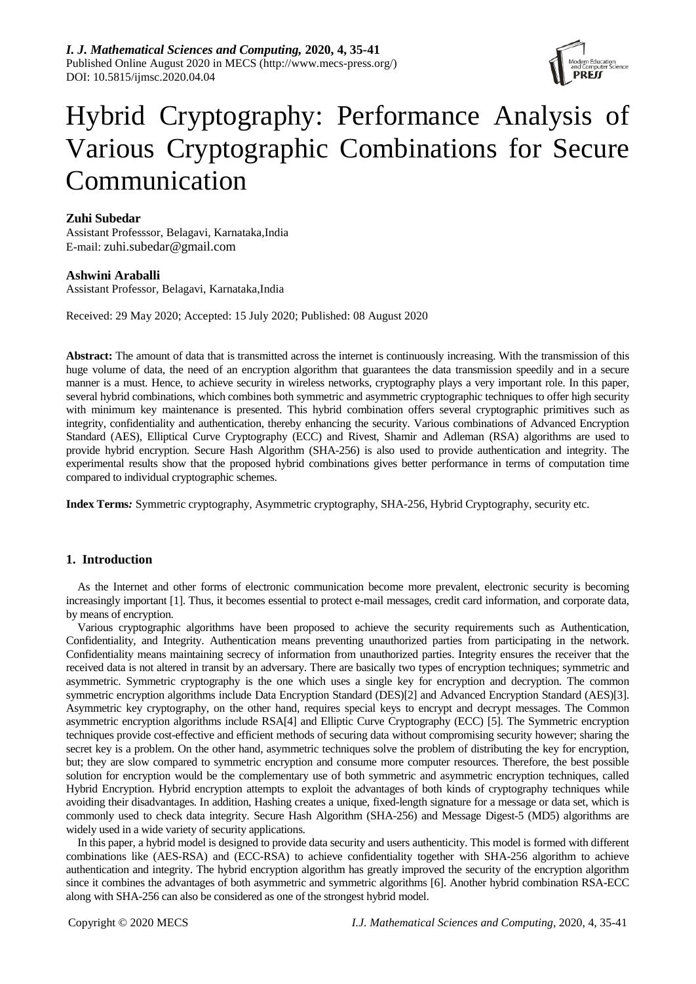

# Hybrid Cryptography: Performance Analysis of Various Cryptographic Combinations for Secure Communication

## **Zuhi Subedar**

Assistant Professsor, Belagavi, Karnataka,India E-mail: zuhi.subedar@gmail.com

**Ashwini Araballi**

Assistant Professor, Belagavi, Karnataka,India

Received: 29 May 2020; Accepted: 15 July 2020; Published: 08 August 2020

**Abstract:** The amount of data that is transmitted across the internet is continuously increasing. With the transmission of this huge volume of data, the need of an encryption algorithm that guarantees the data transmission speedily and in a secure manner is a must. Hence, to achieve security in wireless networks, cryptography plays a very important role. In this paper, several hybrid combinations, which combines both symmetric and asymmetric cryptographic techniques to offer high security with minimum key maintenance is presented. This hybrid combination offers several cryptographic primitives such as integrity, confidentiality and authentication, thereby enhancing the security. Various combinations of Advanced Encryption Standard (AES), Elliptical Curve Cryptography (ECC) and Rivest, Shamir and Adleman (RSA) algorithms are used to provide hybrid encryption. Secure Hash Algorithm (SHA-256) is also used to provide authentication and integrity. The experimental results show that the proposed hybrid combinations gives better performance in terms of computation time compared to individual cryptographic schemes.

**Index Terms***:* Symmetric cryptography, Asymmetric cryptography, SHA-256, Hybrid Cryptography, security etc.

# **1. Introduction**

As the Internet and other forms of electronic communication become more prevalent, electronic security is becoming increasingly important [1]. Thus, it becomes essential to protect e-mail messages, credit card information, and corporate data, by means of encryption.

Various cryptographic algorithms have been proposed to achieve the security requirements such as Authentication, Confidentiality, and Integrity. Authentication means preventing unauthorized parties from participating in the network. Confidentiality means maintaining secrecy of information from unauthorized parties. Integrity ensures the receiver that the received data is not altered in transit by an adversary. There are basically two types of encryption techniques; symmetric and asymmetric. Symmetric cryptography is the one which uses a single key for encryption and decryption. The common symmetric encryption algorithms include Data Encryption Standard (DES)[2] and Advanced Encryption Standard (AES)[3]. Asymmetric key cryptography, on the other hand, requires special keys to encrypt and decrypt messages. The Common asymmetric encryption algorithms include RSA[4] and Elliptic Curve Cryptography (ECC) [5]. The Symmetric encryption techniques provide cost-effective and efficient methods of securing data without compromising security however; sharing the secret key is a problem. On the other hand, asymmetric techniques solve the problem of distributing the key for encryption, but; they are slow compared to symmetric encryption and consume more computer resources. Therefore, the best possible solution for encryption would be the complementary use of both symmetric and asymmetric encryption techniques, called Hybrid Encryption. Hybrid encryption attempts to exploit the advantages of both kinds of cryptography techniques while avoiding their disadvantages. In addition, Hashing creates a unique, fixed-length signature for a message or data set, which is commonly used to check data integrity. Secure Hash Algorithm (SHA-256) and Message Digest-5 (MD5) algorithms are widely used in a wide variety of security applications.

In this paper, a hybrid model is designed to provide data security and users authenticity. This model is formed with different combinations like (AES-RSA) and (ECC-RSA) to achieve confidentiality together with SHA-256 algorithm to achieve authentication and integrity. The hybrid encryption algorithm has greatly improved the security of the encryption algorithm since it combines the advantages of both asymmetric and symmetric algorithms [6]. Another hybrid combination RSA-ECC along with SHA-256 can also be considered as one of the strongest hybrid model.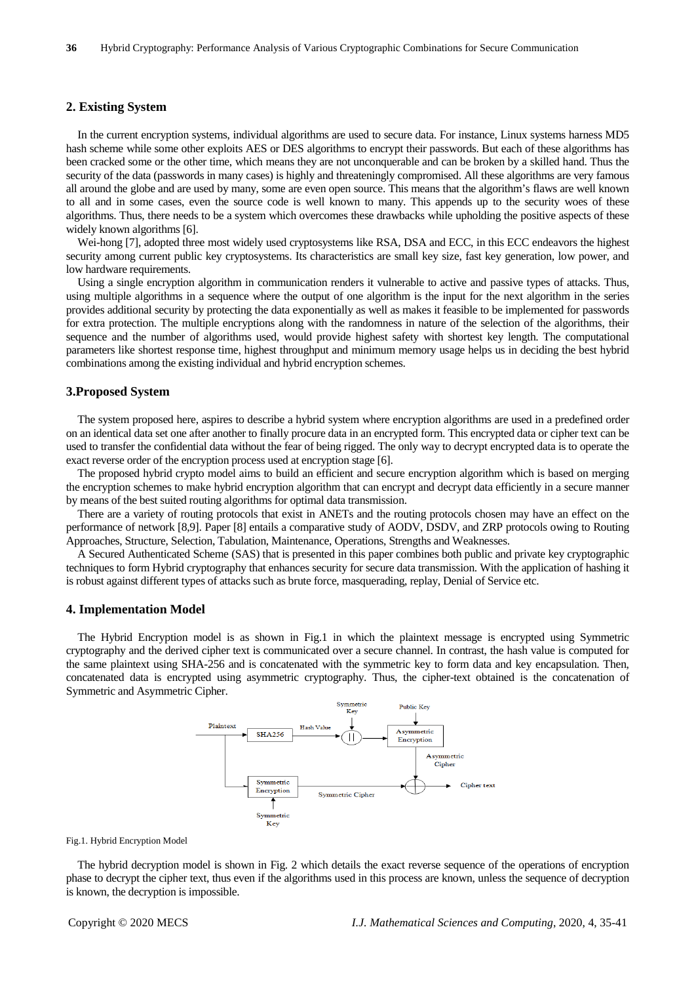### **2. Existing System**

In the current encryption systems, individual algorithms are used to secure data. For instance, Linux systems harness MD5 hash scheme while some other exploits AES or DES algorithms to encrypt their passwords. But each of these algorithms has been cracked some or the other time, which means they are not unconquerable and can be broken by a skilled hand. Thus the security of the data (passwords in many cases) is highly and threateningly compromised. All these algorithms are very famous all around the globe and are used by many, some are even open source. This means that the algorithm's flaws are well known to all and in some cases, even the source code is well known to many. This appends up to the security woes of these algorithms. Thus, there needs to be a system which overcomes these drawbacks while upholding the positive aspects of these widely known algorithms [6].

Wei-hong [7], adopted three most widely used cryptosystems like RSA, DSA and ECC, in this ECC endeavors the highest security among current public key cryptosystems. Its characteristics are small key size, fast key generation, low power, and low hardware requirements.

Using a single encryption algorithm in communication renders it vulnerable to active and passive types of attacks. Thus, using multiple algorithms in a sequence where the output of one algorithm is the input for the next algorithm in the series provides additional security by protecting the data exponentially as well as makes it feasible to be implemented for passwords for extra protection. The multiple encryptions along with the randomness in nature of the selection of the algorithms, their sequence and the number of algorithms used, would provide highest safety with shortest key length. The computational parameters like shortest response time, highest throughput and minimum memory usage helps us in deciding the best hybrid combinations among the existing individual and hybrid encryption schemes.

### **3.Proposed System**

The system proposed here, aspires to describe a hybrid system where encryption algorithms are used in a predefined order on an identical data set one after another to finally procure data in an encrypted form. This encrypted data or cipher text can be used to transfer the confidential data without the fear of being rigged. The only way to decrypt encrypted data is to operate the exact reverse order of the encryption process used at encryption stage [6].

The proposed hybrid crypto model aims to build an efficient and secure encryption algorithm which is based on merging the encryption schemes to make hybrid encryption algorithm that can encrypt and decrypt data efficiently in a secure manner by means of the best suited routing algorithms for optimal data transmission.

There are a variety of routing protocols that exist in ANETs and the routing protocols chosen may have an effect on the performance of network [8,9]. Paper [8] entails a comparative study of AODV, DSDV, and ZRP protocols owing to Routing Approaches, Structure, Selection, Tabulation, Maintenance, Operations, Strengths and Weaknesses.

A Secured Authenticated Scheme (SAS) that is presented in this paper combines both public and private key cryptographic techniques to form Hybrid cryptography that enhances security for secure data transmission. With the application of hashing it is robust against different types of attacks such as brute force, masquerading, replay, Denial of Service etc.

### **4. Implementation Model**

The Hybrid Encryption model is as shown in Fig.1 in which the plaintext message is encrypted using Symmetric cryptography and the derived cipher text is communicated over a secure channel. In contrast, the hash value is computed for the same plaintext using SHA-256 and is concatenated with the symmetric key to form data and key encapsulation. Then, concatenated data is encrypted using asymmetric cryptography. Thus, the cipher-text obtained is the concatenation of Symmetric and Asymmetric Cipher.



### Fig.1. Hybrid Encryption Model

The hybrid decryption model is shown in Fig. 2 which details the exact reverse sequence of the operations of encryption phase to decrypt the cipher text, thus even if the algorithms used in this process are known, unless the sequence of decryption is known, the decryption is impossible.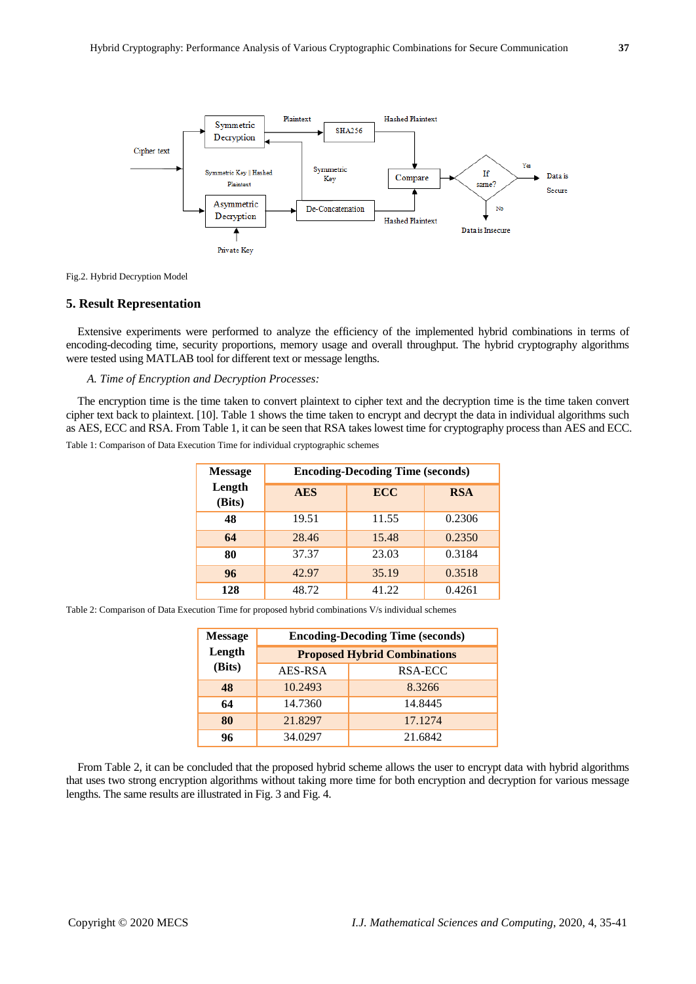



### **5. Result Representation**

Extensive experiments were performed to analyze the efficiency of the implemented hybrid combinations in terms of encoding-decoding time, security proportions, memory usage and overall throughput. The hybrid cryptography algorithms were tested using MATLAB tool for different text or message lengths.

*A. Time of Encryption and Decryption Processes:* 

The encryption time is the time taken to convert plaintext to cipher text and the decryption time is the time taken convert cipher text back to plaintext. [10]. Table 1 shows the time taken to encrypt and decrypt the data in individual algorithms such as AES, ECC and RSA. From Table 1, it can be seen that RSA takes lowest time for cryptography process than AES and ECC.

Table 1: Comparison of Data Execution Time for individual cryptographic schemes

| <b>Message</b>   | <b>Encoding-Decoding Time (seconds)</b> |            |            |  |
|------------------|-----------------------------------------|------------|------------|--|
| Length<br>(Bits) | <b>AES</b>                              | <b>ECC</b> | <b>RSA</b> |  |
| 48               | 19.51                                   | 11.55      | 0.2306     |  |
| 64               | 28.46                                   | 15.48      | 0.2350     |  |
| 80               | 37.37                                   | 23.03      | 0.3184     |  |
| 96               | 42.97                                   | 35.19      | 0.3518     |  |
| 128              | 48.72                                   | 41.22      | 0.4261     |  |

Table 2: Comparison of Data Execution Time for proposed hybrid combinations V/s individual schemes

| <b>Message</b> | <b>Encoding-Decoding Time (seconds)</b> |          |  |
|----------------|-----------------------------------------|----------|--|
| Length         | <b>Proposed Hybrid Combinations</b>     |          |  |
| (Bits)         | AES-RSA                                 | RSA-ECC  |  |
| 48             | 10.2493                                 | 8.3266   |  |
| 64             | 14.7360                                 | 14.8445  |  |
| 80             | 21.8297                                 | 17.12.74 |  |
| 96             | 34.0297                                 | 21.6842  |  |

From Table 2, it can be concluded that the proposed hybrid scheme allows the user to encrypt data with hybrid algorithms that uses two strong encryption algorithms without taking more time for both encryption and decryption for various message lengths. The same results are illustrated in Fig. 3 and Fig. 4.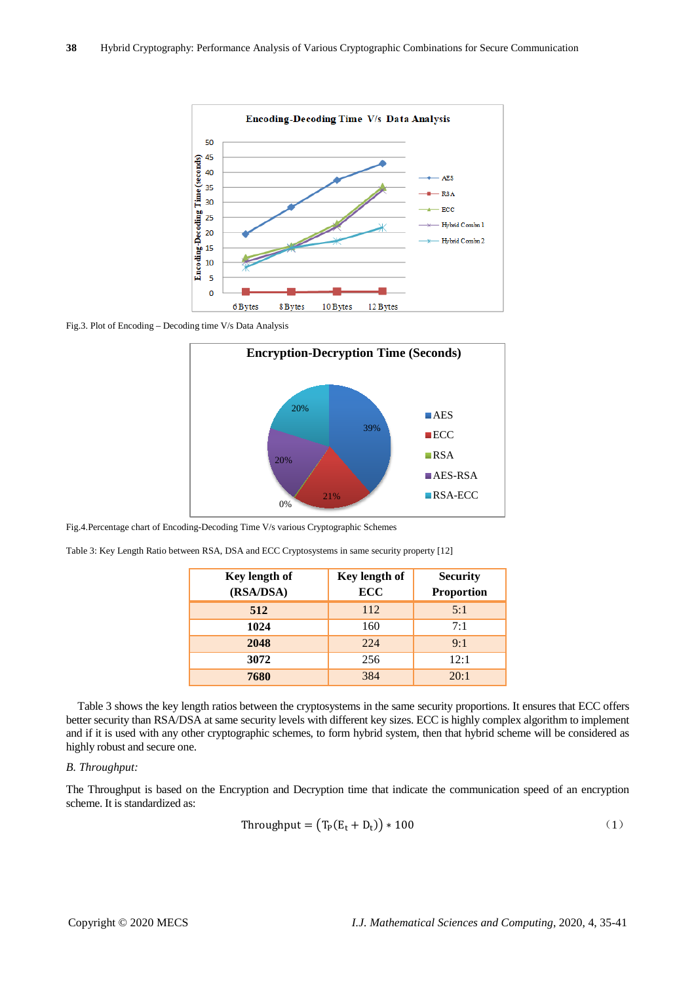

Fig.3. Plot of Encoding – Decoding time V/s Data Analysis



Fig.4.Percentage chart of Encoding-Decoding Time V/s various Cryptographic Schemes

| Table 3: Key Length Ratio between RSA, DSA and ECC Cryptosystems in same security property [12] |  |  |  |
|-------------------------------------------------------------------------------------------------|--|--|--|
|-------------------------------------------------------------------------------------------------|--|--|--|

| Key length of | Key length of | <b>Security</b><br><b>Proportion</b> |  |
|---------------|---------------|--------------------------------------|--|
| (RSA/DSA)     | <b>ECC</b>    |                                      |  |
| 512           | 112           | 5:1                                  |  |
| 1024          | 160           | 7:1                                  |  |
| 2048          | 224           | 9:1                                  |  |
| 3072          | 256           | 12:1                                 |  |
| 7680          | 384           | 20:1                                 |  |

Table 3 shows the key length ratios between the cryptosystems in the same security proportions. It ensures that ECC offers better security than RSA/DSA at same security levels with different key sizes. ECC is highly complex algorithm to implement and if it is used with any other cryptographic schemes, to form hybrid system, then that hybrid scheme will be considered as highly robust and secure one.

### *B. Throughput:*

The Throughput is based on the Encryption and Decryption time that indicate the communication speed of an encryption scheme. It is standardized as:

$$
Throughout = (T_P(E_t + D_t)) * 100
$$
 (1)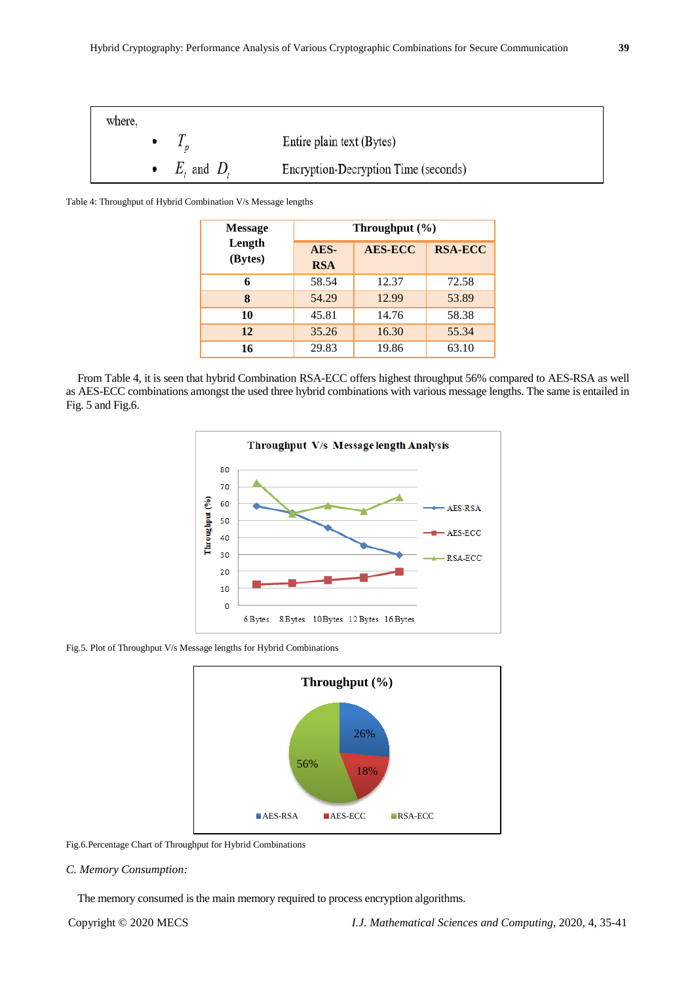

Table 4: Throughput of Hybrid Combination V/s Message lengths

| <b>Message</b>    | Throughput $(\% )$ |                |                |  |
|-------------------|--------------------|----------------|----------------|--|
| Length<br>(Bytes) | AES-<br><b>RSA</b> | <b>AES-ECC</b> | <b>RSA-ECC</b> |  |
| 6                 | 58.54              | 12.37          | 72.58          |  |
| 8                 | 54.29              | 12.99          | 53.89          |  |
| 10                | 45.81              | 14.76          | 58.38          |  |
| 12                | 35.26              | 16.30          | 55.34          |  |
| 16                | 29.83              | 19.86          | 63.10          |  |

From Table 4, it is seen that hybrid Combination RSA-ECC offers highest throughput 56% compared to AES-RSA as well as AES-ECC combinations amongst the used three hybrid combinations with various message lengths. The same is entailed in Fig. 5 and Fig.6.



Fig.5. Plot of Throughput V/s Message lengths for Hybrid Combinations



Fig.6.Percentage Chart of Throughput for Hybrid Combinations

### *C. Memory Consumption:*

The memory consumed is the main memory required to process encryption algorithms.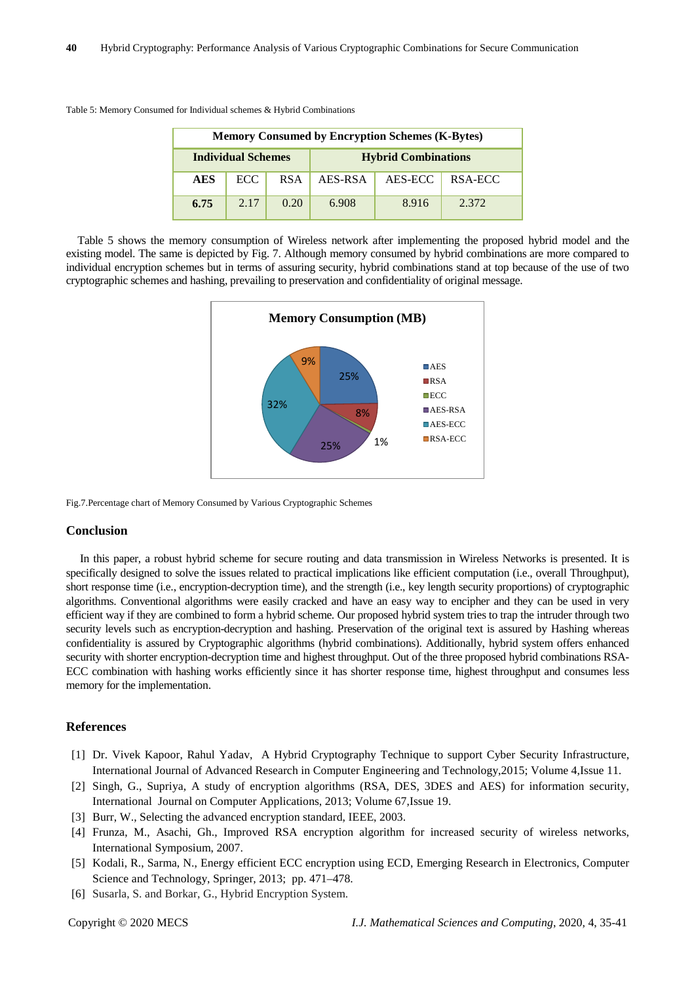Table 5: Memory Consumed for Individual schemes & Hybrid Combinations

| <b>Memory Consumed by Encryption Schemes (K-Bytes)</b> |      |                            |         |         |         |
|--------------------------------------------------------|------|----------------------------|---------|---------|---------|
| <b>Individual Schemes</b>                              |      | <b>Hybrid Combinations</b> |         |         |         |
| <b>AES</b>                                             | ECC. | <b>RSA</b>                 | AES-RSA | AES-ECC | RSA-ECC |
| 6.75                                                   | 2.17 | 0.20                       | 6.908   | 8.916   | 2.372   |

Table 5 shows the memory consumption of Wireless network after implementing the proposed hybrid model and the existing model. The same is depicted by Fig. 7. Although memory consumed by hybrid combinations are more compared to individual encryption schemes but in terms of assuring security, hybrid combinations stand at top because of the use of two cryptographic schemes and hashing, prevailing to preservation and confidentiality of original message.



Fig.7.Percentage chart of Memory Consumed by Various Cryptographic Schemes

### **Conclusion**

In this paper, a robust hybrid scheme for secure routing and data transmission in Wireless Networks is presented. It is specifically designed to solve the issues related to practical implications like efficient computation (i.e., overall Throughput), short response time (i.e., encryption-decryption time), and the strength (i.e., key length security proportions) of cryptographic algorithms. Conventional algorithms were easily cracked and have an easy way to encipher and they can be used in very efficient way if they are combined to form a hybrid scheme. Our proposed hybrid system tries to trap the intruder through two security levels such as encryption-decryption and hashing. Preservation of the original text is assured by Hashing whereas confidentiality is assured by Cryptographic algorithms (hybrid combinations). Additionally, hybrid system offers enhanced security with shorter encryption-decryption time and highest throughput. Out of the three proposed hybrid combinations RSA-ECC combination with hashing works efficiently since it has shorter response time, highest throughput and consumes less memory for the implementation.

### **References**

- [1] Dr. Vivek Kapoor, Rahul Yadav, A Hybrid Cryptography Technique to support Cyber Security Infrastructure, International Journal of Advanced Research in Computer Engineering and Technology,2015; Volume 4,Issue 11.
- [2] Singh, G., Supriya, A study of encryption algorithms (RSA, DES, 3DES and AES) for information security, International Journal on Computer Applications, 2013; Volume 67,Issue 19.
- [3] Burr, W., Selecting the advanced encryption standard, IEEE, 2003.
- [4] Frunza, M., Asachi, Gh., Improved RSA encryption algorithm for increased security of wireless networks, International Symposium, 2007.
- [5] Kodali, R., Sarma, N., Energy efficient ECC encryption using ECD, Emerging Research in Electronics, Computer Science and Technology, Springer, 2013; pp. 471–478.
- [6] Susarla, S. and Borkar, G., Hybrid Encryption System.